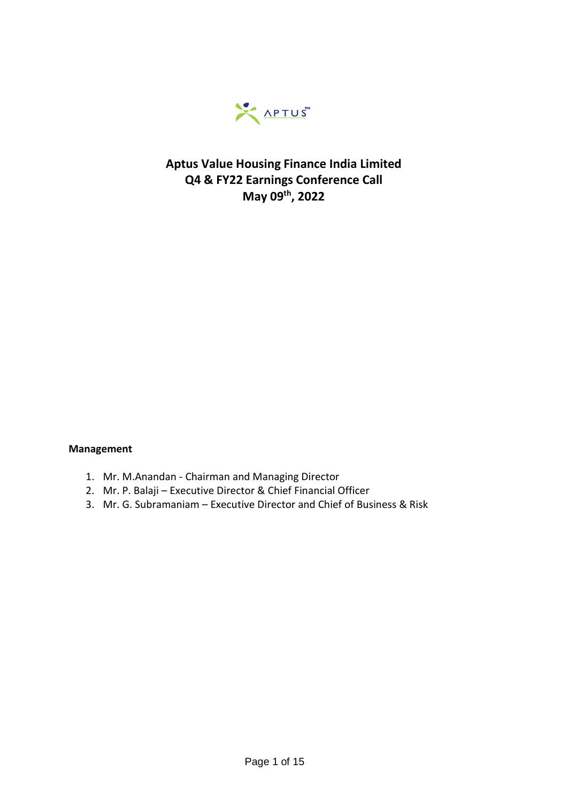

## **Aptus Value Housing Finance India Limited Q4 & FY22 Earnings Conference Call May 09th, 2022**

#### **Management**

- 1. Mr. M.Anandan Chairman and Managing Director
- 2. Mr. P. Balaji Executive Director & Chief Financial Officer
- 3. Mr. G. Subramaniam Executive Director and Chief of Business & Risk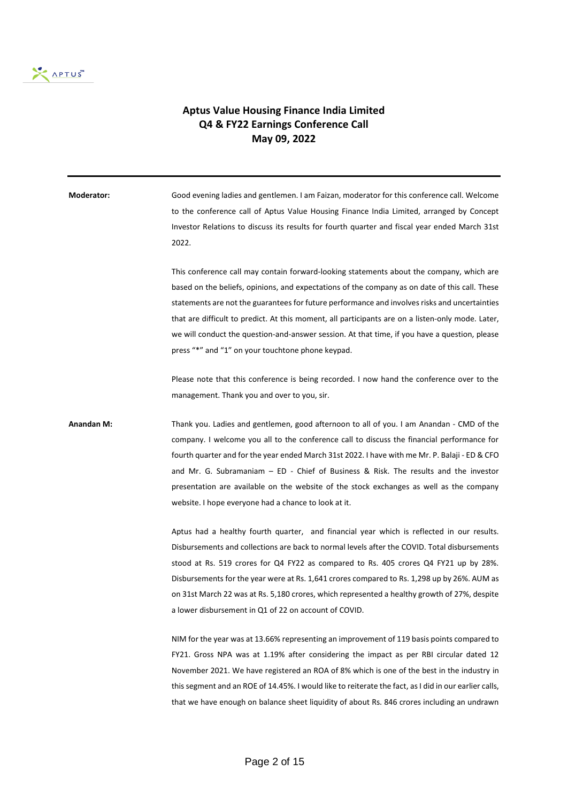

### **Aptus Value Housing Finance India Limited Q4 & FY22 Earnings Conference Call May 09, 2022**

| Moderator:        | Good evening ladies and gentlemen. I am Faizan, moderator for this conference call. Welcome<br>to the conference call of Aptus Value Housing Finance India Limited, arranged by Concept<br>Investor Relations to discuss its results for fourth quarter and fiscal year ended March 31st<br>2022.                                                                                                                                                                                                                                                      |
|-------------------|--------------------------------------------------------------------------------------------------------------------------------------------------------------------------------------------------------------------------------------------------------------------------------------------------------------------------------------------------------------------------------------------------------------------------------------------------------------------------------------------------------------------------------------------------------|
|                   | This conference call may contain forward-looking statements about the company, which are<br>based on the beliefs, opinions, and expectations of the company as on date of this call. These<br>statements are not the guarantees for future performance and involves risks and uncertainties<br>that are difficult to predict. At this moment, all participants are on a listen-only mode. Later,<br>we will conduct the question-and-answer session. At that time, if you have a question, please<br>press "*" and "1" on your touchtone phone keypad. |
|                   | Please note that this conference is being recorded. I now hand the conference over to the<br>management. Thank you and over to you, sir.                                                                                                                                                                                                                                                                                                                                                                                                               |
| <b>Anandan M:</b> | Thank you. Ladies and gentlemen, good afternoon to all of you. I am Anandan - CMD of the<br>company. I welcome you all to the conference call to discuss the financial performance for<br>fourth quarter and for the year ended March 31st 2022. I have with me Mr. P. Balaji - ED & CFO<br>and Mr. G. Subramaniam $-$ ED $-$ Chief of Business & Risk. The results and the investor<br>presentation are available on the website of the stock exchanges as well as the company<br>website. I hope everyone had a chance to look at it.                |
|                   | Aptus had a healthy fourth quarter, and financial year which is reflected in our results.<br>Disbursements and collections are back to normal levels after the COVID. Total disbursements<br>stood at Rs. 519 crores for Q4 FY22 as compared to Rs. 405 crores Q4 FY21 up by 28%.<br>Disbursements for the year were at Rs. 1,641 crores compared to Rs. 1,298 up by 26%. AUM as<br>on 31st March 22 was at Rs. 5,180 crores, which represented a healthy growth of 27%, despite<br>a lower disbursement in Q1 of 22 on account of COVID.              |
|                   | NIM for the year was at 13.66% representing an improvement of 119 basis points compared to<br>FY21. Gross NPA was at 1.19% after considering the impact as per RBI circular dated 12<br>November 2021. We have registered an ROA of 8% which is one of the best in the industry in<br>this segment and an ROE of 14.45%. I would like to reiterate the fact, as I did in our earlier calls,                                                                                                                                                            |

that we have enough on balance sheet liquidity of about Rs. 846 crores including an undrawn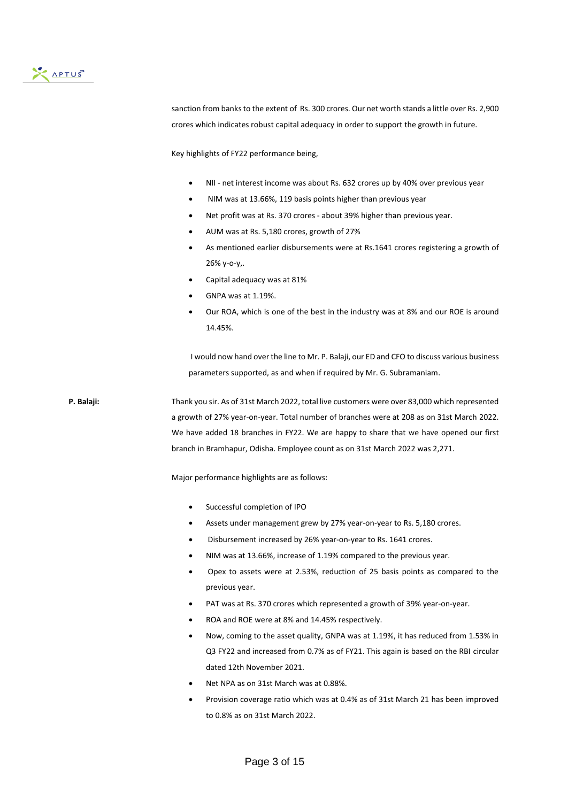

sanction from banks to the extent of Rs. 300 crores. Our net worth stands a little over Rs. 2,900 crores which indicates robust capital adequacy in order to support the growth in future.

Key highlights of FY22 performance being,

- NII net interest income was about Rs. 632 crores up by 40% over previous year
- NIM was at 13.66%, 119 basis points higher than previous year
- Net profit was at Rs. 370 crores about 39% higher than previous year.
- AUM was at Rs. 5,180 crores, growth of 27%
- As mentioned earlier disbursements were at Rs.1641 crores registering a growth of 26% y-o-y,.
- Capital adequacy was at 81%
- GNPA was at 1.19%.
- Our ROA, which is one of the best in the industry was at 8% and our ROE is around 14.45%.

I would now hand over the line to Mr. P. Balaji, our ED and CFO to discuss various business parameters supported, as and when if required by Mr. G. Subramaniam.

**P. Balaji:** Thank you sir. As of 31st March 2022, total live customers were over 83,000 which represented a growth of 27% year-on-year. Total number of branches were at 208 as on 31st March 2022. We have added 18 branches in FY22. We are happy to share that we have opened our first branch in Bramhapur, Odisha. Employee count as on 31st March 2022 was 2,271.

Major performance highlights are as follows:

- Successful completion of IPO
- Assets under management grew by 27% year-on-year to Rs. 5,180 crores.
- Disbursement increased by 26% year-on-year to Rs. 1641 crores.
- NIM was at 13.66%, increase of 1.19% compared to the previous year.
- Opex to assets were at 2.53%, reduction of 25 basis points as compared to the previous year.
- PAT was at Rs. 370 crores which represented a growth of 39% year-on-year.
- ROA and ROE were at 8% and 14.45% respectively.
- Now, coming to the asset quality, GNPA was at 1.19%, it has reduced from 1.53% in Q3 FY22 and increased from 0.7% as of FY21. This again is based on the RBI circular dated 12th November 2021.
- Net NPA as on 31st March was at 0.88%.
- Provision coverage ratio which was at 0.4% as of 31st March 21 has been improved to 0.8% as on 31st March 2022.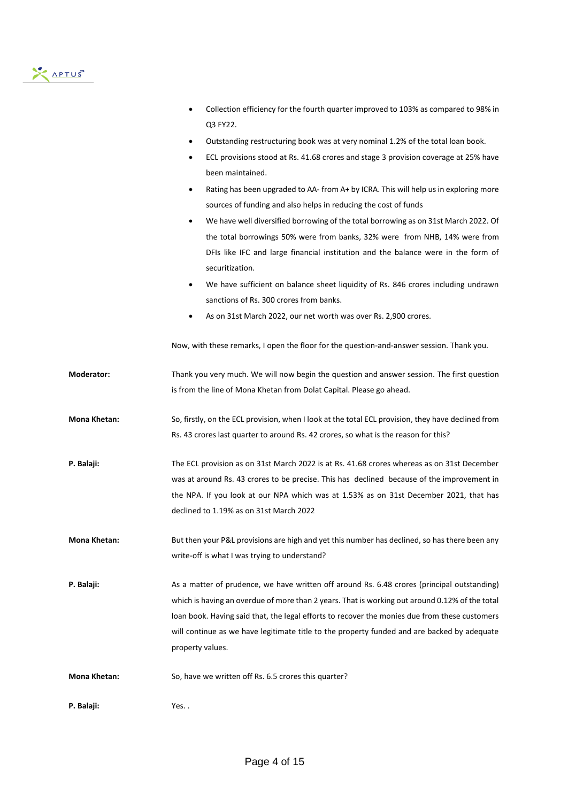# APTUS

|                   | Collection efficiency for the fourth quarter improved to 103% as compared to 98% in<br>Q3 FY22.              |
|-------------------|--------------------------------------------------------------------------------------------------------------|
|                   | Outstanding restructuring book was at very nominal 1.2% of the total loan book.                              |
|                   | ECL provisions stood at Rs. 41.68 crores and stage 3 provision coverage at 25% have<br>٠<br>been maintained. |
|                   | Rating has been upgraded to AA- from A+ by ICRA. This will help us in exploring more<br>$\bullet$            |
|                   | sources of funding and also helps in reducing the cost of funds                                              |
|                   | We have well diversified borrowing of the total borrowing as on 31st March 2022. Of<br>$\bullet$             |
|                   | the total borrowings 50% were from banks, 32% were from NHB, 14% were from                                   |
|                   | DFIs like IFC and large financial institution and the balance were in the form of                            |
|                   | securitization.                                                                                              |
|                   | We have sufficient on balance sheet liquidity of Rs. 846 crores including undrawn<br>$\bullet$               |
|                   | sanctions of Rs. 300 crores from banks.                                                                      |
|                   | As on 31st March 2022, our net worth was over Rs. 2,900 crores.                                              |
|                   | Now, with these remarks, I open the floor for the question-and-answer session. Thank you.                    |
| <b>Moderator:</b> | Thank you very much. We will now begin the question and answer session. The first question                   |
|                   | is from the line of Mona Khetan from Dolat Capital. Please go ahead.                                         |
| Mona Khetan:      | So, firstly, on the ECL provision, when I look at the total ECL provision, they have declined from           |
|                   | Rs. 43 crores last quarter to around Rs. 42 crores, so what is the reason for this?                          |
| P. Balaji:        | The ECL provision as on 31st March 2022 is at Rs. 41.68 crores whereas as on 31st December                   |
|                   | was at around Rs. 43 crores to be precise. This has declined because of the improvement in                   |
|                   | the NPA. If you look at our NPA which was at 1.53% as on 31st December 2021, that has                        |
|                   | declined to 1.19% as on 31st March 2022                                                                      |
| Mona Khetan:      | But then your P&L provisions are high and yet this number has declined, so has there been any                |
|                   | write-off is what I was trying to understand?                                                                |
| P. Balaji:        | As a matter of prudence, we have written off around Rs. 6.48 crores (principal outstanding)                  |
|                   | which is having an overdue of more than 2 years. That is working out around 0.12% of the total               |
|                   | loan book. Having said that, the legal efforts to recover the monies due from these customers                |
|                   | will continue as we have legitimate title to the property funded and are backed by adequate                  |
|                   | property values.                                                                                             |
| Mona Khetan:      | So, have we written off Rs. 6.5 crores this quarter?                                                         |
| P. Balaji:        | Yes                                                                                                          |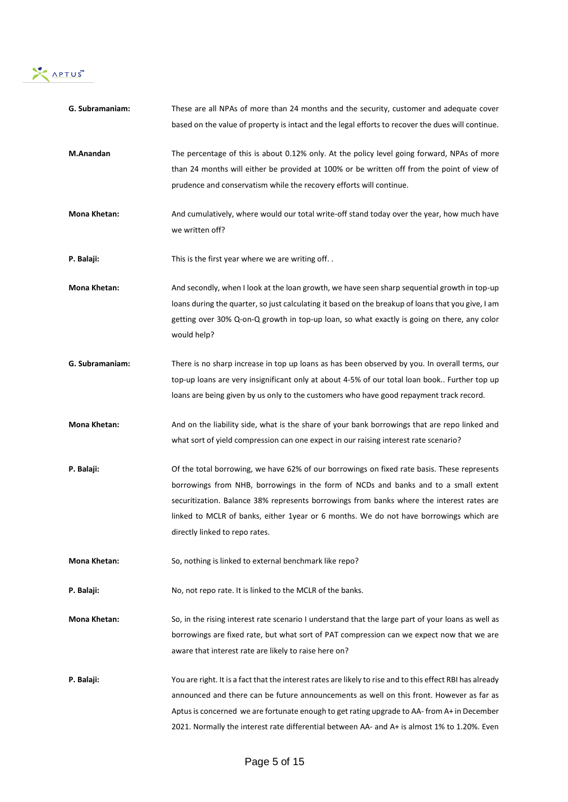

| G. Subramaniam:     | These are all NPAs of more than 24 months and the security, customer and adequate cover                       |
|---------------------|---------------------------------------------------------------------------------------------------------------|
|                     | based on the value of property is intact and the legal efforts to recover the dues will continue.             |
| M.Anandan           | The percentage of this is about 0.12% only. At the policy level going forward, NPAs of more                   |
|                     | than 24 months will either be provided at 100% or be written off from the point of view of                    |
|                     | prudence and conservatism while the recovery efforts will continue.                                           |
| Mona Khetan:        | And cumulatively, where would our total write-off stand today over the year, how much have<br>we written off? |
| P. Balaji:          | This is the first year where we are writing off                                                               |
| <b>Mona Khetan:</b> | And secondly, when I look at the loan growth, we have seen sharp sequential growth in top-up                  |
|                     | loans during the quarter, so just calculating it based on the breakup of loans that you give, I am            |
|                     | getting over 30% Q-on-Q growth in top-up loan, so what exactly is going on there, any color<br>would help?    |
| G. Subramaniam:     | There is no sharp increase in top up loans as has been observed by you. In overall terms, our                 |
|                     | top-up loans are very insignificant only at about 4-5% of our total loan book Further top up                  |
|                     | loans are being given by us only to the customers who have good repayment track record.                       |
| <b>Mona Khetan:</b> | And on the liability side, what is the share of your bank borrowings that are repo linked and                 |
|                     | what sort of yield compression can one expect in our raising interest rate scenario?                          |
| P. Balaji:          | Of the total borrowing, we have 62% of our borrowings on fixed rate basis. These represents                   |
|                     | borrowings from NHB, borrowings in the form of NCDs and banks and to a small extent                           |
|                     | securitization. Balance 38% represents borrowings from banks where the interest rates are                     |
|                     | linked to MCLR of banks, either 1year or 6 months. We do not have borrowings which are                        |
|                     | directly linked to repo rates.                                                                                |
| <b>Mona Khetan:</b> | So, nothing is linked to external benchmark like repo?                                                        |
| P. Balaji:          | No, not repo rate. It is linked to the MCLR of the banks.                                                     |
| Mona Khetan:        | So, in the rising interest rate scenario I understand that the large part of your loans as well as            |
|                     | borrowings are fixed rate, but what sort of PAT compression can we expect now that we are                     |
|                     | aware that interest rate are likely to raise here on?                                                         |
| P. Balaji:          | You are right. It is a fact that the interest rates are likely to rise and to this effect RBI has already     |
|                     | announced and there can be future announcements as well on this front. However as far as                      |
|                     | Aptus is concerned we are fortunate enough to get rating upgrade to AA- from A+ in December                   |
|                     | 2021. Normally the interest rate differential between AA- and A+ is almost 1% to 1.20%. Even                  |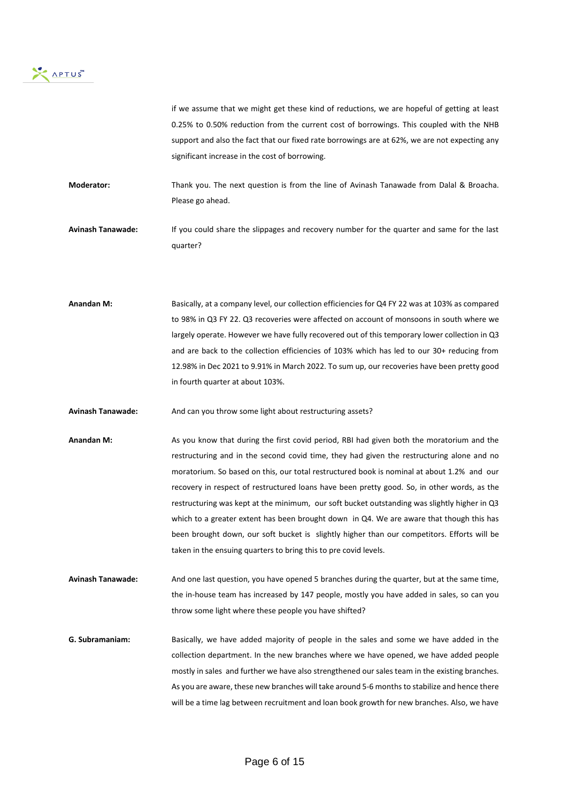

if we assume that we might get these kind of reductions, we are hopeful of getting at least 0.25% to 0.50% reduction from the current cost of borrowings. This coupled with the NHB support and also the fact that our fixed rate borrowings are at 62%, we are not expecting any significant increase in the cost of borrowing.

**Moderator:** Thank you. The next question is from the line of Avinash Tanawade from Dalal & Broacha. Please go ahead.

**Avinash Tanawade:** If you could share the slippages and recovery number for the quarter and same for the last quarter?

**Anandan M:** Basically, at a company level, our collection efficiencies for Q4 FY 22 was at 103% as compared to 98% in Q3 FY 22. Q3 recoveries were affected on account of monsoons in south where we largely operate. However we have fully recovered out of this temporary lower collection in Q3 and are back to the collection efficiencies of 103% which has led to our 30+ reducing from 12.98% in Dec 2021 to 9.91% in March 2022. To sum up, our recoveries have been pretty good in fourth quarter at about 103%.

Avinash Tanawade: And can you throw some light about restructuring assets?

Anandan M: As you know that during the first covid period, RBI had given both the moratorium and the restructuring and in the second covid time, they had given the restructuring alone and no moratorium. So based on this, our total restructured book is nominal at about 1.2% and our recovery in respect of restructured loans have been pretty good. So, in other words, as the restructuring was kept at the minimum, our soft bucket outstanding was slightly higher in Q3 which to a greater extent has been brought down in Q4. We are aware that though this has been brought down, our soft bucket is slightly higher than our competitors. Efforts will be taken in the ensuing quarters to bring this to pre covid levels.

**Avinash Tanawade:** And one last question, you have opened 5 branches during the quarter, but at the same time, the in-house team has increased by 147 people, mostly you have added in sales, so can you throw some light where these people you have shifted?

**G. Subramaniam:** Basically, we have added majority of people in the sales and some we have added in the collection department. In the new branches where we have opened, we have added people mostly in sales and further we have also strengthened our sales team in the existing branches. As you are aware, these new branches will take around 5-6 months to stabilize and hence there will be a time lag between recruitment and loan book growth for new branches. Also, we have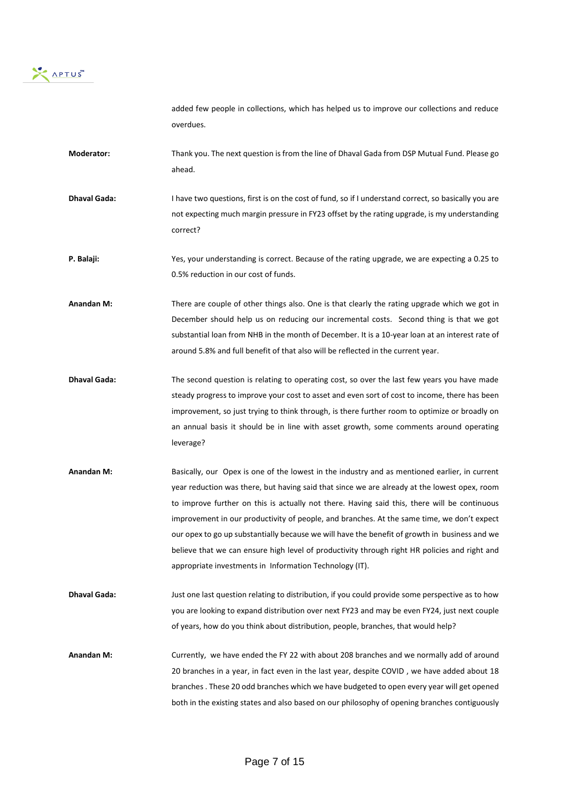

added few people in collections, which has helped us to improve our collections and reduce overdues.

- **Moderator:** Thank you. The next question is from the line of Dhaval Gada from DSP Mutual Fund. Please go ahead.
- **Dhaval Gada:** I have two questions, first is on the cost of fund, so if I understand correct, so basically you are not expecting much margin pressure in FY23 offset by the rating upgrade, is my understanding correct?
- **P. Balaji:** Yes, your understanding is correct. Because of the rating upgrade, we are expecting a 0.25 to 0.5% reduction in our cost of funds.
- **Anandan M:** There are couple of other things also. One is that clearly the rating upgrade which we got in December should help us on reducing our incremental costs. Second thing is that we got substantial loan from NHB in the month of December. It is a 10-year loan at an interest rate of around 5.8% and full benefit of that also will be reflected in the current year.
- **Dhaval Gada:** The second question is relating to operating cost, so over the last few years you have made steady progress to improve your cost to asset and even sort of cost to income, there has been improvement, so just trying to think through, is there further room to optimize or broadly on an annual basis it should be in line with asset growth, some comments around operating leverage?
- **Anandan M:** Basically, our Opex is one of the lowest in the industry and as mentioned earlier, in current year reduction was there, but having said that since we are already at the lowest opex, room to improve further on this is actually not there. Having said this, there will be continuous improvement in our productivity of people, and branches. At the same time, we don't expect our opex to go up substantially because we will have the benefit of growth in business and we believe that we can ensure high level of productivity through right HR policies and right and appropriate investments in Information Technology (IT).
- **Dhaval Gada:** Just one last question relating to distribution, if you could provide some perspective as to how you are looking to expand distribution over next FY23 and may be even FY24, just next couple of years, how do you think about distribution, people, branches, that would help?
- **Anandan M:** Currently, we have ended the FY 22 with about 208 branches and we normally add of around 20 branches in a year, in fact even in the last year, despite COVID , we have added about 18 branches . These 20 odd branches which we have budgeted to open every year will get opened both in the existing states and also based on our philosophy of opening branches contiguously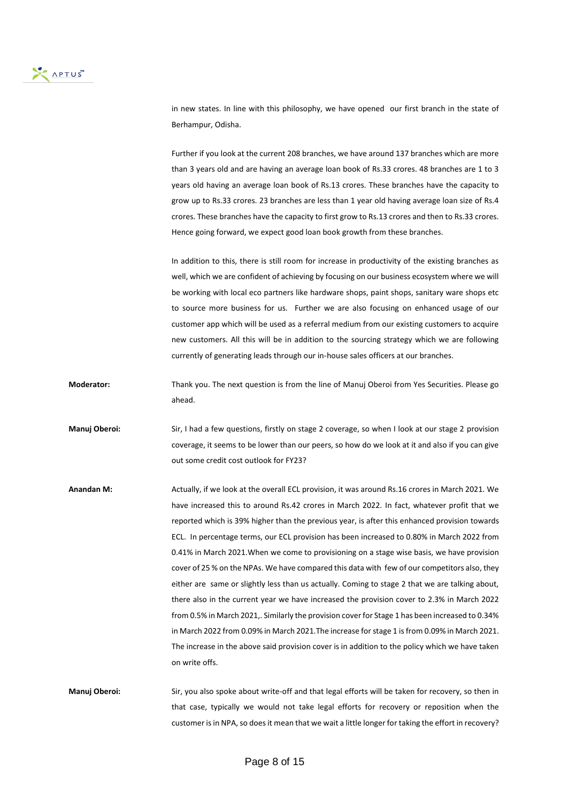

in new states. In line with this philosophy, we have opened our first branch in the state of Berhampur, Odisha.

Further if you look at the current 208 branches, we have around 137 branches which are more than 3 years old and are having an average loan book of Rs.33 crores. 48 branches are 1 to 3 years old having an average loan book of Rs.13 crores. These branches have the capacity to grow up to Rs.33 crores. 23 branches are less than 1 year old having average loan size of Rs.4 crores. These branches have the capacity to first grow to Rs.13 crores and then to Rs.33 crores. Hence going forward, we expect good loan book growth from these branches.

In addition to this, there is still room for increase in productivity of the existing branches as well, which we are confident of achieving by focusing on our business ecosystem where we will be working with local eco partners like hardware shops, paint shops, sanitary ware shops etc to source more business for us. Further we are also focusing on enhanced usage of our customer app which will be used as a referral medium from our existing customers to acquire new customers. All this will be in addition to the sourcing strategy which we are following currently of generating leads through our in-house sales officers at our branches.

**Moderator:** Thank you. The next question is from the line of Manuj Oberoi from Yes Securities. Please go ahead.

**Manuj Oberoi:** Sir, I had a few questions, firstly on stage 2 coverage, so when I look at our stage 2 provision coverage, it seems to be lower than our peers, so how do we look at it and also if you can give out some credit cost outlook for FY23?

**Anandan M:** Actually, if we look at the overall ECL provision, it was around Rs.16 crores in March 2021. We have increased this to around Rs.42 crores in March 2022. In fact, whatever profit that we reported which is 39% higher than the previous year, is after this enhanced provision towards ECL. In percentage terms, our ECL provision has been increased to 0.80% in March 2022 from 0.41% in March 2021.When we come to provisioning on a stage wise basis, we have provision cover of 25 % on the NPAs. We have compared this data with few of our competitors also, they either are same or slightly less than us actually. Coming to stage 2 that we are talking about, there also in the current year we have increased the provision cover to 2.3% in March 2022 from 0.5% in March 2021,. Similarly the provision cover for Stage 1 has been increased to 0.34% in March 2022 from 0.09% in March 2021.The increase for stage 1 is from 0.09% in March 2021. The increase in the above said provision cover is in addition to the policy which we have taken on write offs.

**Manuj Oberoi:** Sir, you also spoke about write-off and that legal efforts will be taken for recovery, so then in that case, typically we would not take legal efforts for recovery or reposition when the customer is in NPA, so does it mean that we wait a little longer for taking the effort in recovery?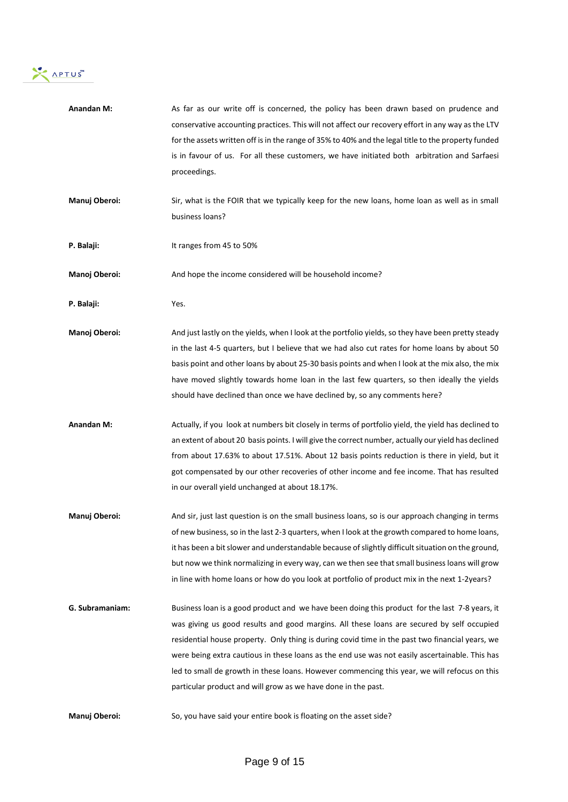

| <b>Anandan M:</b> | As far as our write off is concerned, the policy has been drawn based on prudence and<br>conservative accounting practices. This will not affect our recovery effort in any way as the LTV<br>for the assets written off is in the range of 35% to 40% and the legal title to the property funded<br>is in favour of us. For all these customers, we have initiated both arbitration and Sarfaesi<br>proceedings.                                                                                                                                                 |
|-------------------|-------------------------------------------------------------------------------------------------------------------------------------------------------------------------------------------------------------------------------------------------------------------------------------------------------------------------------------------------------------------------------------------------------------------------------------------------------------------------------------------------------------------------------------------------------------------|
| Manuj Oberoi:     | Sir, what is the FOIR that we typically keep for the new loans, home loan as well as in small<br>business loans?                                                                                                                                                                                                                                                                                                                                                                                                                                                  |
| P. Balaji:        | It ranges from 45 to 50%                                                                                                                                                                                                                                                                                                                                                                                                                                                                                                                                          |
| Manoj Oberoi:     | And hope the income considered will be household income?                                                                                                                                                                                                                                                                                                                                                                                                                                                                                                          |
| P. Balaji:        | Yes.                                                                                                                                                                                                                                                                                                                                                                                                                                                                                                                                                              |
| Manoj Oberoi:     | And just lastly on the yields, when I look at the portfolio yields, so they have been pretty steady<br>in the last 4-5 quarters, but I believe that we had also cut rates for home loans by about 50<br>basis point and other loans by about 25-30 basis points and when I look at the mix also, the mix<br>have moved slightly towards home loan in the last few quarters, so then ideally the yields<br>should have declined than once we have declined by, so any comments here?                                                                               |
| <b>Anandan M:</b> | Actually, if you look at numbers bit closely in terms of portfolio yield, the yield has declined to<br>an extent of about 20 basis points. I will give the correct number, actually our yield has declined<br>from about 17.63% to about 17.51%. About 12 basis points reduction is there in yield, but it<br>got compensated by our other recoveries of other income and fee income. That has resulted<br>in our overall yield unchanged at about 18.17%.                                                                                                        |
| Manuj Oberoi:     | And sir, just last question is on the small business loans, so is our approach changing in terms<br>of new business, so in the last 2-3 quarters, when I look at the growth compared to home loans,<br>it has been a bit slower and understandable because of slightly difficult situation on the ground,<br>but now we think normalizing in every way, can we then see that small business loans will grow<br>in line with home loans or how do you look at portfolio of product mix in the next 1-2years?                                                       |
| G. Subramaniam:   | Business loan is a good product and we have been doing this product for the last 7-8 years, it<br>was giving us good results and good margins. All these loans are secured by self occupied<br>residential house property. Only thing is during covid time in the past two financial years, we<br>were being extra cautious in these loans as the end use was not easily ascertainable. This has<br>led to small de growth in these loans. However commencing this year, we will refocus on this<br>particular product and will grow as we have done in the past. |
| Manuj Oberoi:     | So, you have said your entire book is floating on the asset side?                                                                                                                                                                                                                                                                                                                                                                                                                                                                                                 |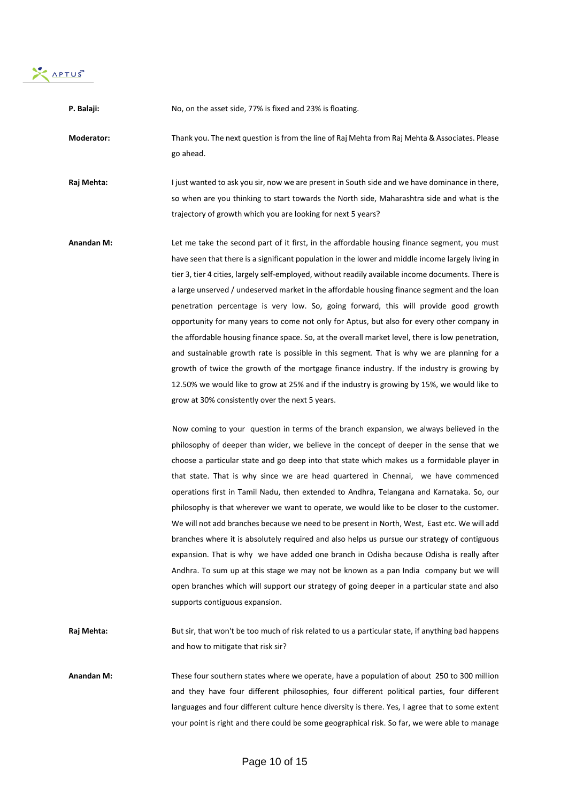

| P. Balaji:        | No, on the asset side, 77% is fixed and 23% is floating.                                                                                                                                                                                                                                                                                                                                                                                                                                                                                                                                                                                                                                                                                                                                                                                                                                                                                                                                                                                                                                                                                                                                                                                                                                                                                                                                                                                                                                                                                                                                                                                                                                                                                                                                                                                                                                                                                                                                                                                                                                                                                       |
|-------------------|------------------------------------------------------------------------------------------------------------------------------------------------------------------------------------------------------------------------------------------------------------------------------------------------------------------------------------------------------------------------------------------------------------------------------------------------------------------------------------------------------------------------------------------------------------------------------------------------------------------------------------------------------------------------------------------------------------------------------------------------------------------------------------------------------------------------------------------------------------------------------------------------------------------------------------------------------------------------------------------------------------------------------------------------------------------------------------------------------------------------------------------------------------------------------------------------------------------------------------------------------------------------------------------------------------------------------------------------------------------------------------------------------------------------------------------------------------------------------------------------------------------------------------------------------------------------------------------------------------------------------------------------------------------------------------------------------------------------------------------------------------------------------------------------------------------------------------------------------------------------------------------------------------------------------------------------------------------------------------------------------------------------------------------------------------------------------------------------------------------------------------------------|
| Moderator:        | Thank you. The next question is from the line of Raj Mehta from Raj Mehta & Associates. Please<br>go ahead.                                                                                                                                                                                                                                                                                                                                                                                                                                                                                                                                                                                                                                                                                                                                                                                                                                                                                                                                                                                                                                                                                                                                                                                                                                                                                                                                                                                                                                                                                                                                                                                                                                                                                                                                                                                                                                                                                                                                                                                                                                    |
| Raj Mehta:        | I just wanted to ask you sir, now we are present in South side and we have dominance in there,<br>so when are you thinking to start towards the North side, Maharashtra side and what is the<br>trajectory of growth which you are looking for next 5 years?                                                                                                                                                                                                                                                                                                                                                                                                                                                                                                                                                                                                                                                                                                                                                                                                                                                                                                                                                                                                                                                                                                                                                                                                                                                                                                                                                                                                                                                                                                                                                                                                                                                                                                                                                                                                                                                                                   |
| <b>Anandan M:</b> | Let me take the second part of it first, in the affordable housing finance segment, you must<br>have seen that there is a significant population in the lower and middle income largely living in<br>tier 3, tier 4 cities, largely self-employed, without readily available income documents. There is<br>a large unserved / undeserved market in the affordable housing finance segment and the loan<br>penetration percentage is very low. So, going forward, this will provide good growth<br>opportunity for many years to come not only for Aptus, but also for every other company in<br>the affordable housing finance space. So, at the overall market level, there is low penetration,<br>and sustainable growth rate is possible in this segment. That is why we are planning for a<br>growth of twice the growth of the mortgage finance industry. If the industry is growing by<br>12.50% we would like to grow at 25% and if the industry is growing by 15%, we would like to<br>grow at 30% consistently over the next 5 years.<br>Now coming to your question in terms of the branch expansion, we always believed in the<br>philosophy of deeper than wider, we believe in the concept of deeper in the sense that we<br>choose a particular state and go deep into that state which makes us a formidable player in<br>that state. That is why since we are head quartered in Chennai, we have commenced<br>operations first in Tamil Nadu, then extended to Andhra, Telangana and Karnataka. So, our<br>philosophy is that wherever we want to operate, we would like to be closer to the customer.<br>We will not add branches because we need to be present in North, West, East etc. We will add<br>branches where it is absolutely required and also helps us pursue our strategy of contiguous<br>expansion. That is why we have added one branch in Odisha because Odisha is really after<br>Andhra. To sum up at this stage we may not be known as a pan India company but we will<br>open branches which will support our strategy of going deeper in a particular state and also<br>supports contiguous expansion. |
| Raj Mehta:        | But sir, that won't be too much of risk related to us a particular state, if anything bad happens<br>and how to mitigate that risk sir?                                                                                                                                                                                                                                                                                                                                                                                                                                                                                                                                                                                                                                                                                                                                                                                                                                                                                                                                                                                                                                                                                                                                                                                                                                                                                                                                                                                                                                                                                                                                                                                                                                                                                                                                                                                                                                                                                                                                                                                                        |

**Anandan M:** These four southern states where we operate, have a population of about 250 to 300 million and they have four different philosophies, four different political parties, four different languages and four different culture hence diversity is there. Yes, I agree that to some extent your point is right and there could be some geographical risk. So far, we were able to manage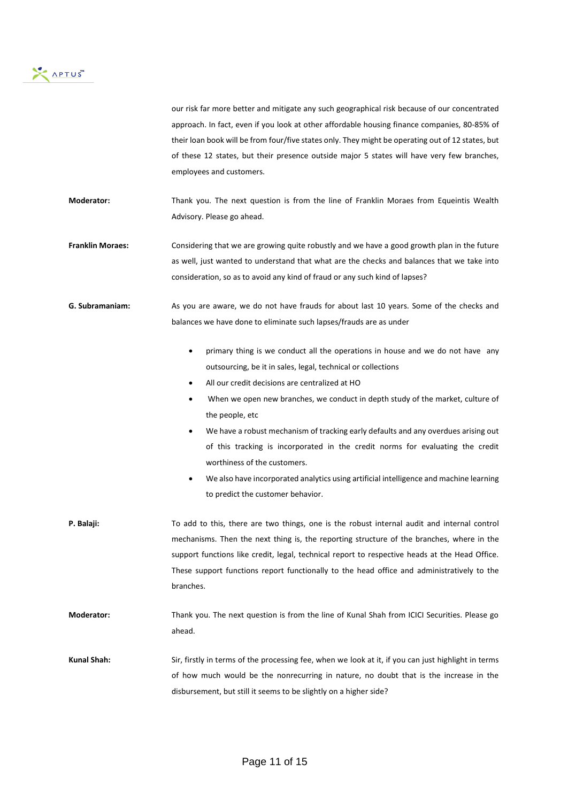

our risk far more better and mitigate any such geographical risk because of our concentrated approach. In fact, even if you look at other affordable housing finance companies, 80-85% of their loan book will be from four/five states only. They might be operating out of 12 states, but of these 12 states, but their presence outside major 5 states will have very few branches, employees and customers.

**Moderator:** Thank you. The next question is from the line of Franklin Moraes from Equeintis Wealth Advisory. Please go ahead.

**Franklin Moraes:** Considering that we are growing quite robustly and we have a good growth plan in the future as well, just wanted to understand that what are the checks and balances that we take into consideration, so as to avoid any kind of fraud or any such kind of lapses?

**G. Subramaniam:** As you are aware, we do not have frauds for about last 10 years. Some of the checks and balances we have done to eliminate such lapses/frauds are as under

- primary thing is we conduct all the operations in house and we do not have any outsourcing, be it in sales, legal, technical or collections
- All our credit decisions are centralized at HO
- When we open new branches, we conduct in depth study of the market, culture of the people, etc
- We have a robust mechanism of tracking early defaults and any overdues arising out of this tracking is incorporated in the credit norms for evaluating the credit worthiness of the customers.
- We also have incorporated analytics using artificial intelligence and machine learning to predict the customer behavior.
- **P. Balaji:** To add to this, there are two things, one is the robust internal audit and internal control mechanisms. Then the next thing is, the reporting structure of the branches, where in the support functions like credit, legal, technical report to respective heads at the Head Office. These support functions report functionally to the head office and administratively to the branches. **Moderator:** Thank you. The next question is from the line of Kunal Shah from ICICI Securities. Please go ahead.
- **Kunal Shah:** Sir, firstly in terms of the processing fee, when we look at it, if you can just highlight in terms of how much would be the nonrecurring in nature, no doubt that is the increase in the disbursement, but still it seems to be slightly on a higher side?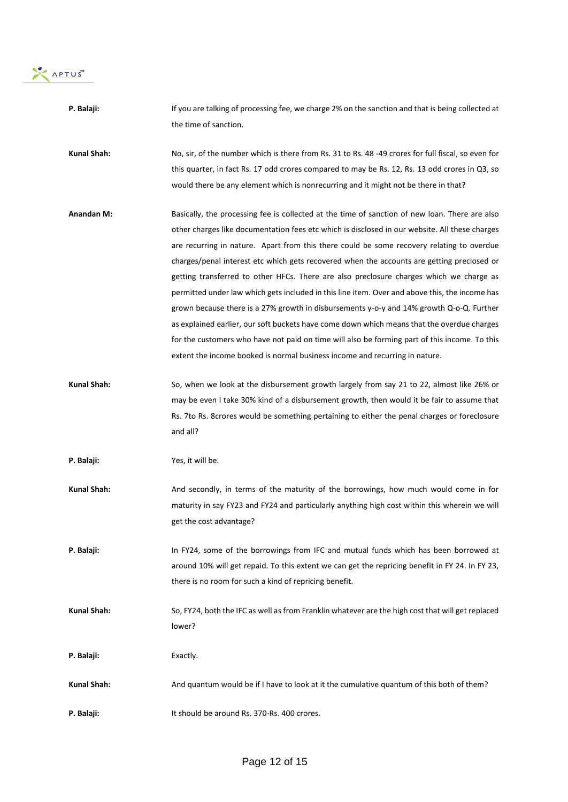APTUS

| P. Balaji:        | If you are talking of processing fee, we charge 2% on the sanction and that is being collected at   |
|-------------------|-----------------------------------------------------------------------------------------------------|
|                   | the time of sanction.                                                                               |
| Kunal Shah:       | No, sir, of the number which is there from Rs. 31 to Rs. 48 -49 crores for full fiscal, so even for |
|                   | this quarter, in fact Rs. 17 odd crores compared to may be Rs. 12, Rs. 13 odd crores in Q3, so      |
|                   | would there be any element which is nonrecurring and it might not be there in that?                 |
| <b>Anandan M:</b> | Basically, the processing fee is collected at the time of sanction of new loan. There are also      |
|                   | other charges like documentation fees etc which is disclosed in our website. All these charges      |
|                   | are recurring in nature. Apart from this there could be some recovery relating to overdue           |
|                   | charges/penal interest etc which gets recovered when the accounts are getting preclosed or          |
|                   | getting transferred to other HFCs. There are also preclosure charges which we charge as             |
|                   | permitted under law which gets included in this line item. Over and above this, the income has      |
|                   | grown because there is a 27% growth in disbursements y-o-y and 14% growth Q-o-Q. Further            |
|                   | as explained earlier, our soft buckets have come down which means that the overdue charges          |
|                   | for the customers who have not paid on time will also be forming part of this income. To this       |
|                   | extent the income booked is normal business income and recurring in nature.                         |
| Kunal Shah:       | So, when we look at the disbursement growth largely from say 21 to 22, almost like 26% or           |
|                   | may be even I take 30% kind of a disbursement growth, then would it be fair to assume that          |
|                   | Rs. 7to Rs. 8crores would be something pertaining to either the penal charges or foreclosure        |
|                   | and all?                                                                                            |
| P. Balaji:        | Yes, it will be.                                                                                    |
| Kunal Shah:       | And secondly, in terms of the maturity of the borrowings, how much would come in for                |
|                   | maturity in say FY23 and FY24 and particularly anything high cost within this wherein we will       |
|                   | get the cost advantage?                                                                             |
| P. Balaji:        | In FY24, some of the borrowings from IFC and mutual funds which has been borrowed at                |
|                   | around 10% will get repaid. To this extent we can get the repricing benefit in FY 24. In FY 23,     |
|                   | there is no room for such a kind of repricing benefit.                                              |
| Kunal Shah:       | So, FY24, both the IFC as well as from Franklin whatever are the high cost that will get replaced   |
|                   | lower?                                                                                              |
| P. Balaji:        | Exactly.                                                                                            |
| Kunal Shah:       | And quantum would be if I have to look at it the cumulative quantum of this both of them?           |
| P. Balaji:        | It should be around Rs. 370-Rs. 400 crores.                                                         |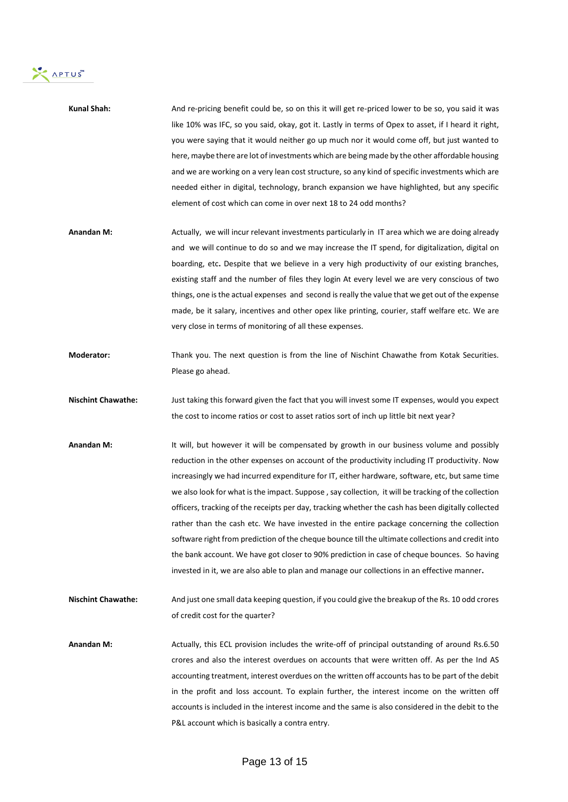

| Kunal Shah: | And re-pricing benefit could be, so on this it will get re-priced lower to be so, you said it was   |
|-------------|-----------------------------------------------------------------------------------------------------|
|             | like 10% was IFC, so you said, okay, got it. Lastly in terms of Opex to asset, if I heard it right, |
|             | you were saying that it would neither go up much nor it would come off, but just wanted to          |
|             | here, maybe there are lot of investments which are being made by the other affordable housing       |
|             | and we are working on a very lean cost structure, so any kind of specific investments which are     |
|             | needed either in digital, technology, branch expansion we have highlighted, but any specific        |
|             | element of cost which can come in over next 18 to 24 odd months?                                    |

- **Anandan M:** Actually, we will incur relevant investments particularly in IT area which we are doing already and we will continue to do so and we may increase the IT spend, for digitalization, digital on boarding, etc**.** Despite that we believe in a very high productivity of our existing branches, existing staff and the number of files they login At every level we are very conscious of two things, one is the actual expenses and second is really the value that we get out of the expense made, be it salary, incentives and other opex like printing, courier, staff welfare etc. We are very close in terms of monitoring of all these expenses.
- **Moderator:** Thank you. The next question is from the line of Nischint Chawathe from Kotak Securities. Please go ahead.
- **Nischint Chawathe:** Just taking this forward given the fact that you will invest some IT expenses, would you expect the cost to income ratios or cost to asset ratios sort of inch up little bit next year?
- Anandan M: It will, but however it will be compensated by growth in our business volume and possibly reduction in the other expenses on account of the productivity including IT productivity. Now increasingly we had incurred expenditure for IT, either hardware, software, etc, but same time we also look for what is the impact. Suppose , say collection, it will be tracking of the collection officers, tracking of the receipts per day, tracking whether the cash has been digitally collected rather than the cash etc. We have invested in the entire package concerning the collection software right from prediction of the cheque bounce till the ultimate collections and credit into the bank account. We have got closer to 90% prediction in case of cheque bounces. So having invested in it, we are also able to plan and manage our collections in an effective manner**.**
- **Nischint Chawathe:** And just one small data keeping question, if you could give the breakup of the Rs. 10 odd crores of credit cost for the quarter?
- **Anandan M:** Actually, this ECL provision includes the write-off of principal outstanding of around Rs.6.50 crores and also the interest overdues on accounts that were written off. As per the Ind AS accounting treatment, interest overdues on the written off accounts has to be part of the debit in the profit and loss account. To explain further, the interest income on the written off accounts is included in the interest income and the same is also considered in the debit to the P&L account which is basically a contra entry.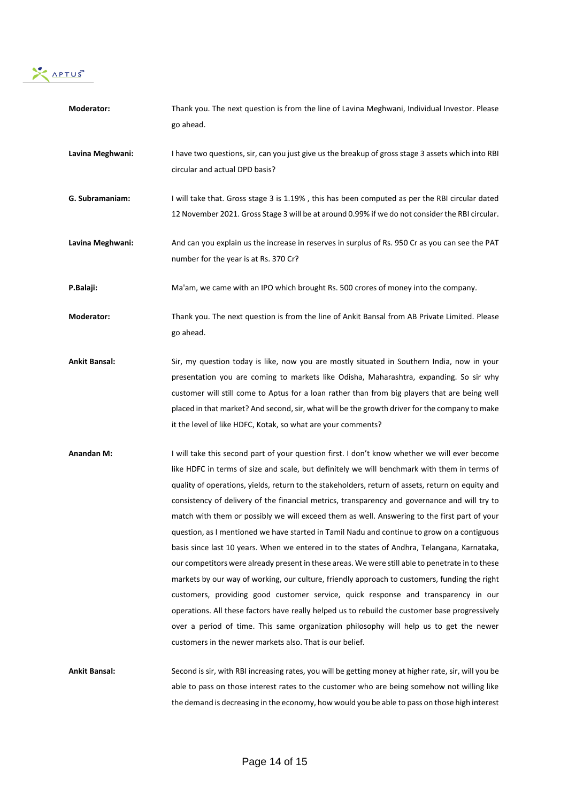

| Moderator:           | Thank you. The next question is from the line of Lavina Meghwani, Individual Investor. Please        |
|----------------------|------------------------------------------------------------------------------------------------------|
|                      | go ahead.                                                                                            |
|                      |                                                                                                      |
| Lavina Meghwani:     | I have two questions, sir, can you just give us the breakup of gross stage 3 assets which into RBI   |
|                      | circular and actual DPD basis?                                                                       |
| G. Subramaniam:      | I will take that. Gross stage 3 is 1.19%, this has been computed as per the RBI circular dated       |
|                      | 12 November 2021. Gross Stage 3 will be at around 0.99% if we do not consider the RBI circular.      |
|                      |                                                                                                      |
| Lavina Meghwani:     | And can you explain us the increase in reserves in surplus of Rs. 950 Cr as you can see the PAT      |
|                      | number for the year is at Rs. 370 Cr?                                                                |
|                      |                                                                                                      |
| P.Balaji:            | Ma'am, we came with an IPO which brought Rs. 500 crores of money into the company.                   |
| Moderator:           | Thank you. The next question is from the line of Ankit Bansal from AB Private Limited. Please        |
|                      | go ahead.                                                                                            |
|                      |                                                                                                      |
| <b>Ankit Bansal:</b> | Sir, my question today is like, now you are mostly situated in Southern India, now in your           |
|                      | presentation you are coming to markets like Odisha, Maharashtra, expanding. So sir why               |
|                      | customer will still come to Aptus for a loan rather than from big players that are being well        |
|                      | placed in that market? And second, sir, what will be the growth driver for the company to make       |
|                      | it the level of like HDFC, Kotak, so what are your comments?                                         |
| <b>Anandan M:</b>    | I will take this second part of your question first. I don't know whether we will ever become        |
|                      | like HDFC in terms of size and scale, but definitely we will benchmark with them in terms of         |
|                      | quality of operations, yields, return to the stakeholders, return of assets, return on equity and    |
|                      | consistency of delivery of the financial metrics, transparency and governance and will try to        |
|                      | match with them or possibly we will exceed them as well. Answering to the first part of your         |
|                      | question, as I mentioned we have started in Tamil Nadu and continue to grow on a contiguous          |
|                      | basis since last 10 years. When we entered in to the states of Andhra, Telangana, Karnataka,         |
|                      | our competitors were already present in these areas. We were still able to penetrate in to these     |
|                      | markets by our way of working, our culture, friendly approach to customers, funding the right        |
|                      | customers, providing good customer service, quick response and transparency in our                   |
|                      | operations. All these factors have really helped us to rebuild the customer base progressively       |
|                      | over a period of time. This same organization philosophy will help us to get the newer               |
|                      | customers in the newer markets also. That is our belief.                                             |
|                      |                                                                                                      |
| <b>Ankit Bansal:</b> | Second is sir, with RBI increasing rates, you will be getting money at higher rate, sir, will you be |
|                      | able to pass on those interest rates to the customer who are being somehow not willing like          |

the demand is decreasing in the economy, how would you be able to pass on those high interest